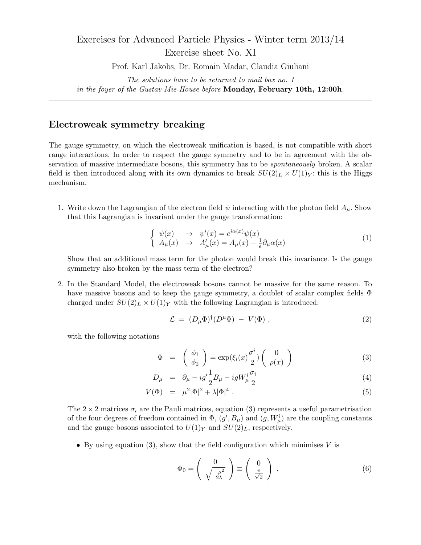## Exercises for Advanced Particle Physics - Winter term 2013/14 Exercise sheet No. XI

Prof. Karl Jakobs, Dr. Romain Madar, Claudia Giuliani

*The solutions have to be returned to mail box no. 1 in the foyer of the Gustav-Mie-House before* **Monday, February 10th, 12:00h***.*

## **Electroweak symmetry breaking**

The gauge symmetry, on which the electroweak unification is based, is not compatible with short range interactions. In order to respect the gauge symmetry and to be in agreement with the observation of massive intermediate bosons, this symmetry has to be *spontaneously* broken. A scalar field is then introduced along with its own dynamics to break  $SU(2)_L \times U(1)_Y$ : this is the Higgs mechanism.

1. Write down the Lagrangian of the electron field  $\psi$  interacting with the photon field  $A_\mu$ . Show that this Lagrangian is invariant under the gauge transformation:

$$
\begin{cases}\n\psi(x) & \to & \psi'(x) = e^{i\alpha(x)}\psi(x) \\
A_{\mu}(x) & \to & A'_{\mu}(x) = A_{\mu}(x) - \frac{1}{e}\partial_{\mu}\alpha(x)\n\end{cases} (1)
$$

Show that an additional mass term for the photon would break this invariance. Is the gauge symmetry also broken by the mass term of the electron?

2. In the Standard Model, the electroweak bosons cannot be massive for the same reason. To have massive bosons and to keep the gauge symmetry, a doublet of scalar complex fields Φ charged under  $SU(2)_L \times U(1)_Y$  with the following Lagrangian is introduced:

$$
\mathcal{L} = (D_{\mu} \Phi)^{\dagger} (D^{\mu} \Phi) - V(\Phi) , \qquad (2)
$$

with the following notations

$$
\Phi = \begin{pmatrix} \phi_1 \\ \phi_2 \end{pmatrix} = \exp(\xi_i(x)\frac{\sigma^i}{2}) \begin{pmatrix} 0 \\ \rho(x) \end{pmatrix}
$$
 (3)

$$
D_{\mu} = \partial_{\mu} - ig' \frac{1}{2} B_{\mu} - ig W_{\mu}^{i} \frac{\sigma_{i}}{2} \tag{4}
$$

$$
V(\Phi) = \mu^2 |\Phi|^2 + \lambda |\Phi|^4.
$$
 (5)

The  $2 \times 2$  matrices  $\sigma_i$  are the Pauli matrices, equation (3) represents a useful parametrisation of the four degrees of freedom contained in  $\Phi$ ,  $(g', B_\mu)$  and  $(g, W^i_\mu)$  are the coupling constants and the gauge bosons associated to  $U(1)_Y$  and  $SU(2)_L$ , respectively.

*•* By using equation (3), show that the field configuration which minimises *V* is

$$
\Phi_0 = \begin{pmatrix} 0 \\ \sqrt{\frac{-\mu^2}{2\lambda}} \end{pmatrix} \equiv \begin{pmatrix} 0 \\ \frac{v}{\sqrt{2}} \end{pmatrix} . \tag{6}
$$